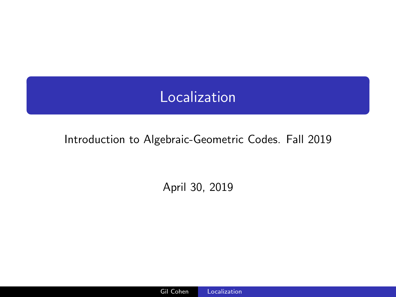# Localization

# <span id="page-0-0"></span>Introduction to Algebraic-Geometric Codes. Fall 2019

April 30, 2019

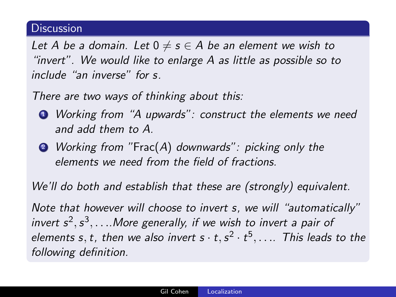### **Discussion**

Let A be a domain. Let  $0 \neq s \in A$  be an element we wish to "invert". We would like to enlarge A as little as possible so to include "an inverse" for s.

There are two ways of thinking about this:

- <sup>1</sup> Working from "A upwards": construct the elements we need and add them to A.
- <sup>2</sup> Working from "Frac(A) downwards": picking only the elements we need from the field of fractions.

We'll do both and establish that these are (strongly) equivalent.

Note that however will choose to invert s, we will "automatically" invert  $s^2, s^3, \ldots$  More generally, if we wish to invert a pair of elements s, t, then we also invert  $s \cdot t, s^2 \cdot t^5, \ldots$  This leads to the following definition.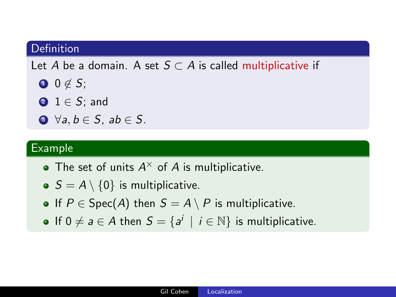# Definition

Let A be a domain. A set  $S \subset A$  is called multiplicative if

- $0 \notin S$ ;
- $2 1 \in S$ ; and
- $\bullet \ \forall a, b \in S$ , ab  $\in S$ .

#### Example

- The set of units  $A^{\times}$  of A is multiplicative.
- $S = A \setminus \{0\}$  is multiplicative.
- If  $P \in \text{Spec}(A)$  then  $S = A \setminus P$  is multiplicative.
- If  $0 \neq a \in A$  then  $S = \{a^i \mid i \in \mathbb{N}\}\$ is multiplicative.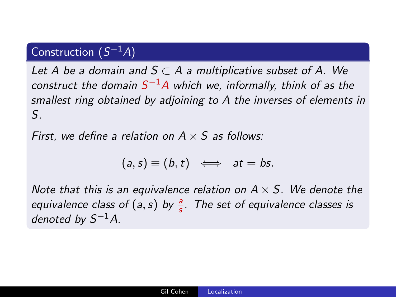# Construction  $(S^{-1}A)$

Let A be a domain and  $S \subset A$  a multiplicative subset of A. We construct the domain  $S^{-1}A$  which we, informally, think of as the smallest ring obtained by adjoining to A the inverses of elements in S.

First, we define a relation on  $A \times S$  as follows:

$$
(a, s) \equiv (b, t) \iff at = bs.
$$

Note that this is an equivalence relation on  $A \times S$ . We denote the equivalence class of  $(a, s)$  by  $\frac{a}{s}$ . The set of equivalence classes is denoted by  $S^{-1}A$ .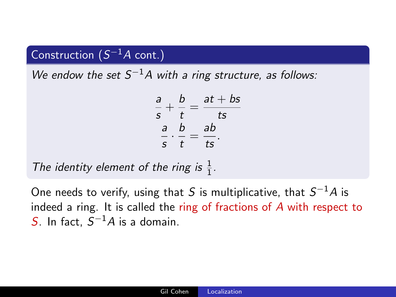# Construction  $(S^{-1}A \text{ cont.})$

We endow the set  $S^{-1}A$  with a ring structure, as follows:

$$
\frac{a}{s} + \frac{b}{t} = \frac{at + bs}{ts}
$$

$$
\frac{a}{s} \cdot \frac{b}{t} = \frac{ab}{ts}.
$$

The identity element of the ring is  $\frac{1}{1}$ .

One needs to verify, using that S is multiplicative, that  $S^{-1}A$  is indeed a ring. It is called the ring of fractions of A with respect to S. In fact,  $S^{-1}A$  is a domain.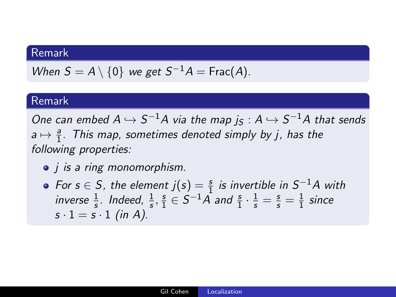# Remark

When 
$$
S = A \setminus \{0\}
$$
 we get  $S^{-1}A = \text{Frac}(A)$ .

#### Remark

One can embed  $A \hookrightarrow S^{-1}A$  via the map  $j_S : A \hookrightarrow S^{-1}A$  that sends  $a \mapsto \frac{a}{1}$ . This map, sometimes denoted simply by j, has the following properties:

- *j* is a ring monomorphism.
- For  $s \in S$ , the element  $j(s) = \frac{s}{1}$  is invertible in  $S^{-1}A$  with inverse  $\frac{1}{s}$ . Indeed,  $\frac{1}{s}$ ,  $\frac{s}{1}$  $\frac{s}{1} \in S^{-1} \overline{A}$  and  $\frac{s}{1} \cdot \frac{1}{s} = \frac{s}{s} = \frac{1}{1}$  $rac{1}{1}$  since  $s \cdot 1 = s \cdot 1$  (in A).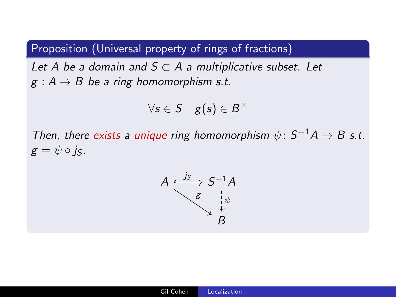# Proposition (Universal property of rings of fractions)

Let A be a domain and  $S \subset A$  a multiplicative subset. Let  $g : A \rightarrow B$  be a ring homomorphism s.t.

$$
\forall s \in S \quad g(s) \in B^{\times}
$$

Then, there exists a unique ring homomorphism  $\psi$ :  $S^{-1}A \rightarrow B$  s.t.  $g = \psi \circ i_S$ .

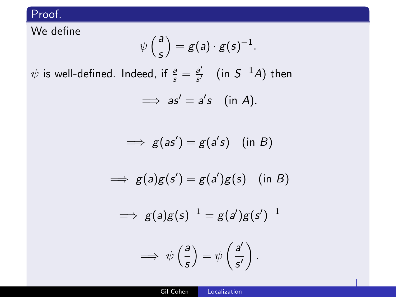We define

$$
\psi\left(\frac{a}{s}\right)=g(a)\cdot g(s)^{-1}.
$$

 $\psi$  is well-defined. Indeed, if  $\frac{a}{s} = \frac{a'}{s'}$  $\frac{a'}{s'}$  (in  $S^{-1}A$ ) then

$$
\implies as'=a's \quad (\text{in } A).
$$

$$
\implies g(as') = g(a's) \quad (\text{in } B)
$$

$$
\implies g(a)g(s') = g(a')g(s) \quad (\text{in } B)
$$

$$
\implies g(a)g(s)^{-1} = g(a')g(s')^{-1}
$$

$$
\implies \psi\left(\frac{a}{s}\right) = \psi\left(\frac{a'}{s'}\right).
$$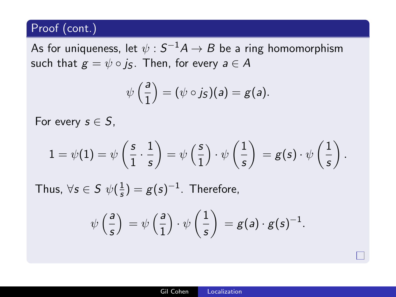# Proof (cont.)

As for uniqueness, let  $\psi: {\mathcal S}^{-1} A \to B$  be a ring homomorphism such that  $g = \psi \circ j_S$ . Then, for every  $a \in A$ 

$$
\psi\left(\frac{a}{1}\right)=(\psi\circ j_S)(a)=g(a).
$$

For every  $s \in S$ ,

$$
1 = \psi(1) = \psi\left(\frac{s}{1}\cdot\frac{1}{s}\right) = \psi\left(\frac{s}{1}\right)\cdot\psi\left(\frac{1}{s}\right) = g(s)\cdot\psi\left(\frac{1}{s}\right).
$$

Thus,  $\forall s \in S \; \psi(\frac{1}{s})$  $(\frac{1}{s}) = g(s)^{-1}$ . Therefore,

$$
\psi\left(\frac{a}{s}\right) = \psi\left(\frac{a}{1}\right) \cdot \psi\left(\frac{1}{s}\right) = g(a) \cdot g(s)^{-1}.
$$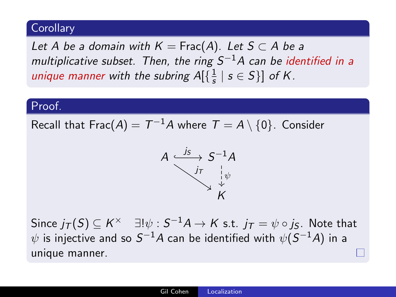# Corollary

Let A be a domain with  $K = \text{Frac}(A)$ . Let  $S \subset A$  be a multiplicative subset. Then, the ring  $S^{-1}A$  can be identified in a unique manner with the subring  $A[\{\frac{1}{s}\}]$  $\frac{1}{s}$  |  $s \in S$ }] of K.

#### Proof.

Recall that Frac $(A)=\, T^{-1}A$  where  $\, \mathcal{T}=A\setminus\{0\}. \,$  Consider



Since  $j_{\mathcal{T}}(S) \subseteq K^\times \quad \exists! \psi : S^{-1}A \to K$  s.t.  $j_{\mathcal{T}} = \psi \circ j_{S}$ . Note that  $\psi$  is injective and so  $\mathcal{S}^{-1}A$  can be identified with  $\psi(\mathcal{S}^{-1}A)$  in a unique manner.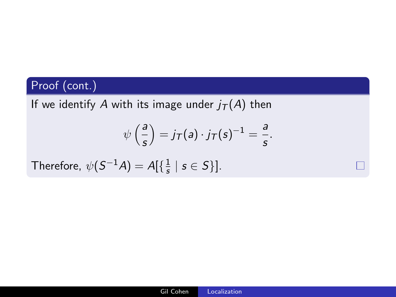# Proof (cont.)

If we identify A with its image under  $i(T(A))$  then

$$
\psi\left(\frac{a}{s}\right) = j\tau(a) \cdot j\tau(s)^{-1} = \frac{a}{s}.
$$

Therefore,  $\psi(\mathcal{S}^{-1}A) = A[\{\frac{1}{s}\}]$  $\frac{1}{s}$  |  $s \in S$  }].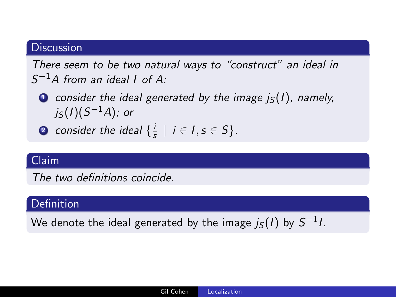# **Discussion**

There seem to be two natural ways to "construct" an ideal in  $S^{-1}A$  from an ideal I of A:

- $\bullet$  consider the ideal generated by the image  $j_{\rm S}(l)$ , namely, j ${}_{S}(I)(S^{-1}A);$  or
- **2** consider the ideal  $\{\frac{1}{3}\}$  $\frac{1}{s}$  |  $i \in I$ ,  $s \in S$  }.

#### Claim

The two definitions coincide.

# **Definition**

We denote the ideal generated by the image  $j_{\mathcal{S}}(I)$  by  $\mathcal{S}^{-1}I.$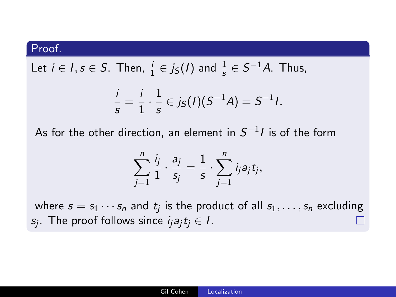Let 
$$
i \in I
$$
,  $s \in S$ . Then,  $\frac{i}{1} \in j_S(I)$  and  $\frac{1}{s} \in S^{-1}A$ . Thus,

$$
\frac{i}{s} = \frac{i}{1} \cdot \frac{1}{s} \in j_S(I)(S^{-1}A) = S^{-1}I.
$$

As for the other direction, an element in  $S^{-1}\prime$  is of the form

$$
\sum_{j=1}^n \frac{i_j}{1} \cdot \frac{a_j}{s_j} = \frac{1}{s} \cdot \sum_{j=1}^n i_j a_j t_j,
$$

where  $s=s_1\cdots s_n$  and  $t_j$  is the product of all  $s_1,\ldots,s_n$  excluding  $s_j$ . The proof follows since  $i_j a_j t_j \in I$ .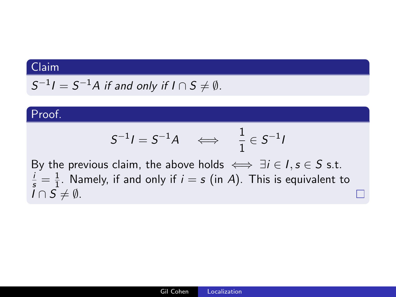# Claim

 $S^{-1}I=S^{-1}A$  if and only if  $I\cap S\neq \emptyset$ .

#### Proof.

$$
S^{-1}I = S^{-1}A \quad \Longleftrightarrow \quad \frac{1}{1} \in S^{-1}I
$$

By the previous claim, the above holds  $\iff \exists i \in I, s \in S \text{ s.t.}$  $\frac{i}{s} = \frac{1}{1}$  $\frac{1}{1}$ . Namely, if and only if  $i = s$  (in A). This is equivalent to  $I \cap S \neq \emptyset$ .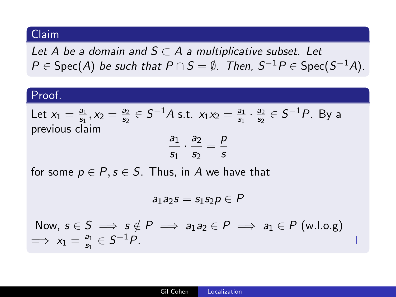#### Claim

Let A be a domain and  $S \subset A$  a multiplicative subset. Let  $P\in \operatorname{\mathsf{Spec}}(A)$  be such that  $P\cap S=\emptyset$ . Then,  $S^{-1}P\in \operatorname{\mathsf{Spec}}(S^{-1}A)$ .

#### Proof.

Let 
$$
x_1 = \frac{a_1}{s_1}, x_2 = \frac{a_2}{s_2} \in S^{-1}A
$$
 s.t.  $x_1x_2 = \frac{a_1}{s_1} \cdot \frac{a_2}{s_2} \in S^{-1}P$ . By a previous claim

$$
\frac{a_1}{s_1} \cdot \frac{a_2}{s_2} = \frac{p}{s}
$$

for some  $p \in P$ ,  $s \in S$ . Thus, in A we have that

$$
a_1a_2s=s_1s_2p\in P
$$

Now,  $s \in S \implies s \notin P \implies a_1 a_2 \in P \implies a_1 \in P$  (w.l.o.g)  $\implies x_1 = \frac{a_1}{s_1}$  $\frac{a_1}{s_1} \in S^{-1}P$ .

П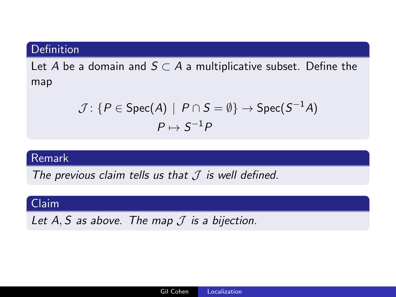#### Definition

Let A be a domain and  $S \subset A$  a multiplicative subset. Define the map

$$
\mathcal{J}\colon \{P\in\text{Spec}(A)\,\mid\, P\cap S=\emptyset\}\to\text{Spec}(S^{-1}A)
$$

#### Remark

The previous claim tells us that  $J$  is well defined.

# Claim

Let A, S as above. The map  $\mathcal I$  is a bijection.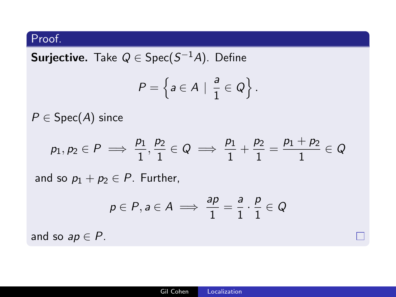$\textsf{Surjective}.$  Take  $Q \in \textsf{Spec}(S^{-1}A)$ . Define

$$
P=\left\{a\in A\,|\,\,\frac{a}{1}\in Q\right\}.
$$

 $P \in \text{Spec}(A)$  since

$$
p_1,p_2\in P\implies \frac{p_1}{1},\frac{p_2}{1}\in Q\implies \frac{p_1}{1}+\frac{p_2}{1}=\frac{p_1+p_2}{1}\in Q
$$

and so  $p_1 + p_2 \in P$ . Further,

$$
p \in P, a \in A \implies \frac{ap}{1} = \frac{a}{1} \cdot \frac{p}{1} \in Q
$$

and so  $ap \in P$ .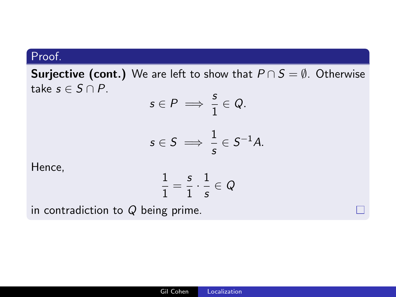**Surjective (cont.)** We are left to show that  $P \cap S = \emptyset$ . Otherwise take  $s \in S \cap P$ .

$$
s \in P \implies \frac{s}{1} \in Q.
$$
  

$$
s \in S \implies \frac{1}{s} \in S^{-1}A.
$$

Hence,

$$
\frac{1}{1}=\frac{s}{1}\cdot\frac{1}{s}\in\mathcal{Q}
$$

in contradiction to Q being prime.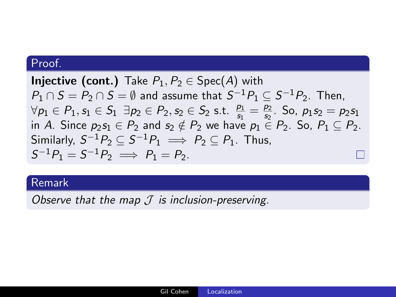**Injective (cont.)** Take  $P_1, P_2 \in \text{Spec}(A)$  with  $P_1 \cap S = P_2 \cap S = \emptyset$  and assume that  $S^{-1}P_1 \subseteq S^{-1}P_2$ . Then,  $\forall p_1 \in P_1, s_1 \in S_1 \exists p_2 \in P_2, s_2 \in S_2 \text{ s.t. } \frac{p_1}{s_1} = \frac{p_2}{s_2}$  $\frac{p_2}{s_2}$ . So,  $p_1s_2 = p_2s_1$ in A. Since  $p_2s_1 \in P_2$  and  $s_2 \notin P_2$  we have  $p_1 \in P_2$ . So,  $P_1 \subseteq P_2$ . Similarly,  $S^{-1}P_2\subseteq S^{-1}P_1 \implies P_2\subseteq P_1$ . Thus,  $S^{-1}P_1 = S^{-1}P_2 \implies P_1 = P_2.$ 

#### Remark

Observe that the map  $\mathcal J$  is inclusion-preserving.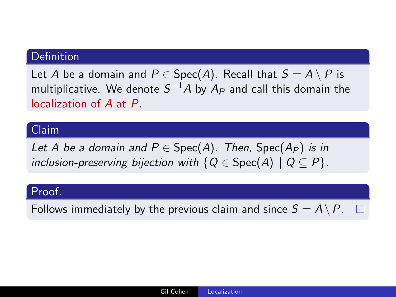### **Definition**

Let A be a domain and  $P \in \text{Spec}(A)$ . Recall that  $S = A \setminus P$  is multiplicative. We denote  $S^{-1}A$  by  $A_P$  and call this domain the localization of A at P.

#### Claim

Let A be a domain and  $P \in \text{Spec}(A)$ . Then, Spec $(A_P)$  is in inclusion-preserving bijection with  $\{Q \in \text{Spec}(A) \mid Q \subseteq P\}$ .

#### Proof.

Follows immediately by the previous claim and since  $S = A \setminus P$ .  $\Box$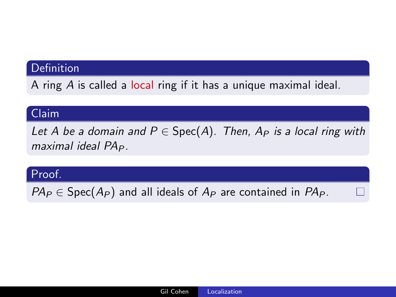# Definition

A ring  $A$  is called a local ring if it has a unique maximal ideal.

#### Claim

Let A be a domain and  $P \in Spec(A)$ . Then,  $A_P$  is a local ring with maximal ideal  $PA<sub>P</sub>$ .

#### Proof.

 $PA_P \in Spec(A_P)$  and all ideals of  $A_P$  are contained in  $PA_P$ .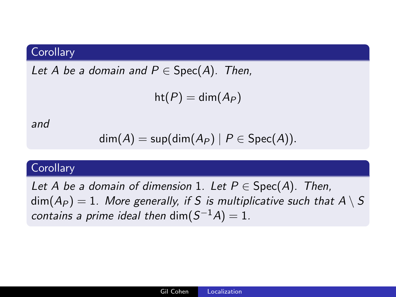# **Corollary**

Let A be a domain and  $P \in Spec(A)$ . Then,

$$
\mathsf{ht}(P)=\mathsf{dim}(A_P)
$$

and

$$
\dim(A) = \sup(\dim(A_P) \mid P \in Spec(A)).
$$

### **Corollary**

Let A be a domain of dimension 1. Let  $P \in Spec(A)$ . Then,  $\dim(A_P) = 1$ . More generally, if S is multiplicative such that  $A \setminus S$ contains a prime ideal then  $\dim(S^{-1}A)=1$ .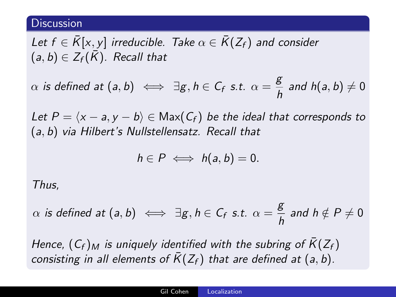#### **Discussion**

Let  $f \in \overline{K}[x, y]$  irreducible. Take  $\alpha \in \overline{K}(Z_f)$  and consider  $(a, b) \in Z_f(\overline{K})$ . Recall that

 $\alpha$  is defined at  $(a, b) \iff \exists g, h \in C_f \text{ s.t. } \alpha = \frac{g}{h}$  $\frac{a}{b}$  and  $h(a, b) \neq 0$ 

Let  $P = \langle x - a, y - b \rangle \in \text{Max}(C_f)$  be the ideal that corresponds to (a, b) via Hilbert's Nullstellensatz. Recall that

$$
h\in P\iff h(a,b)=0.
$$

Thus,

 $\alpha$  is defined at  $(a, b) \iff \exists g, h \in C_f \text{ s.t. } \alpha = \frac{g}{h}$  $\frac{b}{h}$  and  $h \notin P \neq 0$ 

Hence,  $(C_f)_M$  is uniquely identified with the subring of  $\bar{K}(Z_f)$ consisting in all elements of  $\overline{K}(Z_f)$  that are defined at (a, b).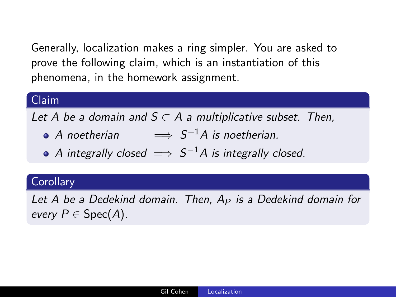Generally, localization makes a ring simpler. You are asked to prove the following claim, which is an instantiation of this phenomena, in the homework assignment.

# Claim

Let A be a domain and  $S \subset A$  a multiplicative subset. Then,

- A noetherian  $\implies S^{-1}A$  is noetherian.
- A integrally closed  $\implies$   $S^{-1}A$  is integrally closed.

# **Corollary**

Let A be a Dedekind domain. Then,  $A_P$  is a Dedekind domain for every  $P \in \text{Spec}(A)$ .